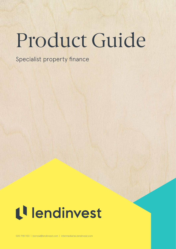# Product Guide

Specialist property finance

# L<sup>l</sup> lendinvest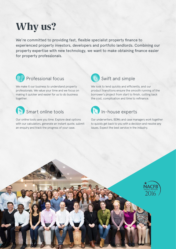# Why us?

We're committed to providing fast, flexible specialist property finance to experienced property investors, developers and portfolio landlords. Combining our property expertise with new technology, we want to make obtaining finance easier for property professionals.



# Professional focus

We make it our business to understand property professionals. We value your time and we focus on making it quicker and easier for us to do business together.



# Smart online tools

Our online tools save you time. Explore deal options with our calculators, generate an instant quote, submit an enquiry and track the progress of your case.



We look to lend quickly and efficiently, and our product transitions ensure the smooth running of the borrower's project from start to finish, cutting back the cost, complication and time to refinance.



Our underwriters, BDMs and case managers work together to quickly get back to you with a decision and resolve any issues. Expect the best service in the industry.

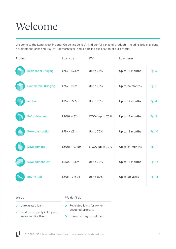# Welcome

Welcome to the LendInvest Product Guide. Inside you'll find our full range of products, including bridging loans, development loans and Buy-to-Let mortgages, and a detailed explanation of our criteria.

| Product |                             | Loan size     | <b>LTV</b>      | Loan term       |        |
|---------|-----------------------------|---------------|-----------------|-----------------|--------|
|         | <b>Residential Bridging</b> | £75k - £7.5m  | Up to 75%       | Up to 12 months | Pg. 6  |
|         | <b>Commercial Bridging</b>  | $£75k - £3m$  | Up to 75%       | Up to 24 months | Pg. 7  |
|         | <b>Auction</b>              | £75k - £7.5m  | Up to 75%       | Up to 12 months | Pg. 8  |
|         | Refurbishment               | £200k - £2m   | LTGDV up to 70% | Up to 18 months | Pg. 9  |
|         | Pre-construction            | $£75k - £5m$  | Up to 70%       | Up to 18 months | Pg. 10 |
|         | Development                 | £500k - £7.5m | LTGDV up to 70% | Up to 24 months | Pg. 11 |
|         | <b>Development Exit</b>     | £250k - £5m   | Up to 70%       | Up to 12 months | Pg. 12 |
|         | Buy-to-Let                  | £50k - £750k  | Up to 80%       | Up to 30 years  | Pg. 14 |

#### We do We don't do

 $\checkmark$  Unregulated loans

 $\checkmark$  Lend on property in England, Wales and Scotland

- $\times$  Regulated loans for owner occupied property
- Consumer buy-to-let loans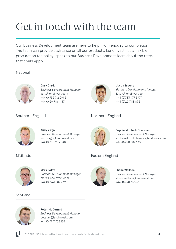# Get in touch with the team

Our Business Development team are here to help, from enquiry to completion. The team can provide assistance on all our products. LendInvest has a flexible procuration fee policy; speak to our Business Development team about the rates that could apply.

# National



**Gary Clark** *Business Development Manager* gary@lendinvest.com +44 (0)755 712 2992 +44 (0)20 7118 1133



**Justin Trowse** *Business Development Manager* justin@lendinvest.com +44 (0)783 477 3977 +44 (0)20 7118 1133

# Southern England

# Northern England



Midlands

**Andy Virgo** *Business Development Manager* andy.virgo@lendinvest.com +44 (0)7511 959 948



**Sophie Mitchell-Charman** *Business Development Manager* sophie.mitchell-charman@lendinvest.com +44 (0)7741 587 245

# Eastern England



**Mark Foley** *Business Development Manager* mark@lendinvest.com +44 (0)7741 587 232

# Scotland



**Peter McDermid** *Business Development Manager* peter.m@lendinvest.com +44 (0)7717 752 125



**Shane Wallace** *Business Development Manager* shane.wallace@lendinvest.com +44 (0)7741 656 555

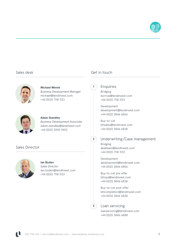

#### Sales desk



#### **Michael Minnie** *Business Development Manager* michael@lendinvest.com +44 (0)20 7118 1133



#### **Adam Standley**

*Business Development Associate adam.standley@lendinvest.com* +44 (0)20 3905 9453

#### Sales Director



### **Ian Boden**

*Sales Director* ian.boden@lendinvest.com +44 (0)20 7118 1133

### Get in touch

**1**

**2**

Enquiries

Bridging borrow@lendinvest.com +44 (0)20 7118 1133

Development development@lendinvest.com +44 (0)20 3846 6856

Buy-to-Let btlsales@lendinvest.com +44 (0)20 3846 6838

#### Underwriting/Case management

Bridging dealteam@lendinvest.com +44 (0)20 7118 1133

Development development@lendinvest.com +44 (0)20 3846 6856

Buy-to-Let pre offer btlops@lendinvest.com +44 (0)20 3846 6838

Buy-to-Let post offer btlcompletion@lendinvest.com +44 (0)20 3846 6838

**3**

# Loan servicing

loanservicing@lendinvest.com +44 (0)20 3846 6888

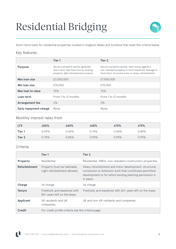# Residential Bridging



Short-term loans for residential properties located in England, Wales and Scotland that meet the criteria below.

### Key features

|                               | Tier 1                                                                                                                  | Tier 2                                                                                                                                                           |
|-------------------------------|-------------------------------------------------------------------------------------------------------------------------|------------------------------------------------------------------------------------------------------------------------------------------------------------------|
| <b>Purpose</b>                | Secure a property quickly, generate<br>short-term cash flow from an existing<br>property, light refurbishment projects. | Secure a property quickly, raise money against a<br>non-standard property or short leasehold, leverage to<br>fund minor structural works or heavy refurbishment. |
| Max Ioan size                 | £3,000,000                                                                                                              | £7,500,000                                                                                                                                                       |
| Min Ioan size                 | £75,000                                                                                                                 | £75,000                                                                                                                                                          |
| Max loan to value             | 75%                                                                                                                     | 75%                                                                                                                                                              |
| Loan term                     | From 1 to 12 months                                                                                                     | From 1 to 12 months                                                                                                                                              |
| <b>Arrangement fee</b>        | 2%                                                                                                                      | 2%                                                                                                                                                               |
| <b>Early repayment charge</b> | None                                                                                                                    | None                                                                                                                                                             |

### Monthly interest rates from

| <b>LTV</b> | ≤50%  | ≤60%  | $\leq 65\%$ | ≤70%  | $\leq 75\%$ |
|------------|-------|-------|-------------|-------|-------------|
| Tier 1     | 0.59% | 0.69% | 0.74%       | 0.84% | 0.89%       |
| Tier 2     | 0.75% | 0.85% | 0.90%       | 0.95% | 0.99%       |

|                      | Tier 1                                                       | Tier 2                                                                                                                                                                                     |
|----------------------|--------------------------------------------------------------|--------------------------------------------------------------------------------------------------------------------------------------------------------------------------------------------|
| Property             | Residential                                                  | Residential, HMOs, non-standard construction properties.                                                                                                                                   |
| <b>Refurbishment</b> | Property must be habitable.<br>Light refurbishment allowed.  | Heavy refurbishment and minor development: structural,<br>conversion or extension work that constitutes permitted<br>development or for which existing planning permission is<br>in place. |
| Charge               | 1st charge                                                   | 1st charge                                                                                                                                                                                 |
| <b>Tenure</b>        | Freehold, and leasehold with<br>80+ years left on the lease. | Freehold, and leasehold with 60+ years left on the lease.                                                                                                                                  |
| <b>Applicant</b>     | UK residents and UK<br>companies.                            | UK and non-UK residents and companies.                                                                                                                                                     |
| <b>Credit</b>        | For credit profile criteria see the criteria page.           |                                                                                                                                                                                            |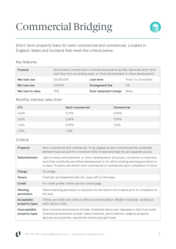# Commercial Bridging



Short-term property loans for semi-commercial and commercial. Located in England, Wales and Scotland that meet the criteria below.

### Key features

| <b>Purpose</b>    | Secure semi-commercial or commercial property quickly. Generate short-term<br>cash flow from an existing asset, or fund refurbishment or minor development. |                        |                     |
|-------------------|-------------------------------------------------------------------------------------------------------------------------------------------------------------|------------------------|---------------------|
| Max Ioan size     | £3,000,000                                                                                                                                                  | Loan term              | From 1 to 24 months |
| Min Ioan size     | £75,000                                                                                                                                                     | <b>Arrangement fee</b> | 2%                  |
| Max loan to value | 75%                                                                                                                                                         | Early repayment charge | None                |

### Monthly interest rates from

| <b>LTV</b> | Semi-commercial | <b>Commercial</b> |
|------------|-----------------|-------------------|
| ≤60%       | 0.79%           | 0.95%             |
| 565%       | 0.89%           | 0.99%             |
| ≤70%       | 0.99%           | 1.10%             |
| ≤75%       | $1.10\%$        | -                 |

| <b>Property</b>                | Semi-commercial and commercial. To be classed as semi-commercial the residential<br>element must account for a minimum 50% of value and have its own separate access.                                                                                                         |  |
|--------------------------------|-------------------------------------------------------------------------------------------------------------------------------------------------------------------------------------------------------------------------------------------------------------------------------|--|
| <b>Refurbishment</b>           | Light or heavy refurbishment, or minor development: structural, conversion or extension<br>work that constitutes permitted development or for which existing planning permission is<br>in place. Property will remain semi-commercial or commercial upon completion of works. |  |
| <b>Charge</b>                  | 1st charge                                                                                                                                                                                                                                                                    |  |
| <b>Tenure</b>                  | Freehold, and leasehold with 60+ years left on the lease.                                                                                                                                                                                                                     |  |
| <b>Credit</b>                  | For credit profile criteria see the criteria page.                                                                                                                                                                                                                            |  |
| <b>Planning</b><br>permission  | Where planning permission is required this will need to be in place prior to completion of<br>the loan.                                                                                                                                                                       |  |
| Acceptable<br>property types   | Offices and retail units with or without accommodation. Modern industrial, warehouse<br>units, factory units.                                                                                                                                                                 |  |
| Unacceptable<br>property types | Semi-commercial exclusions include: residential above pub, takeaway or fast food outlet<br>Commercial exclusions include: heavy industrial, petrol stations, religious property,<br>agricultural properties, equestrian centres and golf clubs.                               |  |

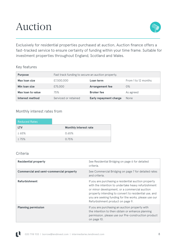# Auction



Exclusively for residential properties purchased at auction, Auction finance offers a fast-tracked service to ensure certainty of funding within your time frame. Suitable for investment properties throughout England, Scotland and Wales.

# Key features

| <b>Purpose</b>    | Fast track funding to secure an auction property. |                               |                     |
|-------------------|---------------------------------------------------|-------------------------------|---------------------|
| Max loan size     | £7,500,000                                        | Loan term                     | From 1 to 12 months |
| Min Ioan size     | £75,000                                           | <b>Arrangement fee</b>        | $0\%$               |
| Max loan to value | 75%                                               | <b>Broker</b> fee             | As agreed           |
| Interest method   | Serviced or retained                              | <b>Early repayment charge</b> | None                |

### Monthly interest rates from

| <b>Reduced Rates</b> |                              |
|----------------------|------------------------------|
| <b>LTV</b>           | <b>Monthly interest rate</b> |
| $\leq 65\%$          | 0.65%                        |
| $\leq 75\%$          | 0.75%                        |

| <b>Residential property</b>                    | See Residential Bridging on page 6 for detailed<br>criteria.                                                                                                                                                                                                                                                       |
|------------------------------------------------|--------------------------------------------------------------------------------------------------------------------------------------------------------------------------------------------------------------------------------------------------------------------------------------------------------------------|
| <b>Commercial and semi-commercial property</b> | See Commercial Bridging on page 7 for detailed rates<br>and criteria.                                                                                                                                                                                                                                              |
| <b>Refurbishment</b>                           | If you are purchasing a residential auction property<br>with the intention to undertake heavy refurbishment<br>or minor development, or a commercial auction<br>property intending to convert to residential use, and<br>you are seeking funding for the works, please use our<br>Refurbishment product on page 9. |
| <b>Planning permission</b>                     | If you are purchasing an auction property with<br>the intention to then obtain or enhance planning<br>permission, please use our Pre-construction product<br>on page 10.                                                                                                                                           |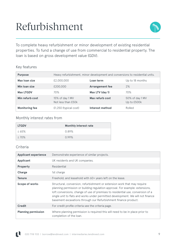# Refurbishment



To complete heavy refurbishment or minor development of existing residential properties. To fund a change of use from commercial to residential property. The loan is based on gross development value (GDV).

# Key features

| <b>Purpose</b>        |                                       | Heavy refurbishment, minor development and conversions to residential units. |                                |
|-----------------------|---------------------------------------|------------------------------------------------------------------------------|--------------------------------|
| Max Ioan size         | £2,000,000                            | Loan term                                                                    | Up to 18 months                |
| Min Ioan size         | £200,000                              | <b>Arrangement fee</b>                                                       | 2%                             |
| <b>Max LTGDV</b>      | 70%                                   | Max LTV (day 1)                                                              | 70%                            |
| Min refurb cost       | 15% of day 1 MV<br>Not less than £50k | Max refurb cost                                                              | 50% of day 1 MV<br>Up to £500k |
| <b>Monitoring fee</b> | $£1,250$ (typical cost)               | Interest method                                                              | Rolled                         |

### Monthly interest rates from

| <b>LTGDV</b> | <b>Monthly interest rate</b> |
|--------------|------------------------------|
| $\leq 65\%$  | 0.89%                        |
| $\leq 70\%$  | $0.99\%$                     |

| <b>Applicant experience</b> | Demonstrate experience of similar projects.                                                                                                                                                                                                                                                                                                                                                        |
|-----------------------------|----------------------------------------------------------------------------------------------------------------------------------------------------------------------------------------------------------------------------------------------------------------------------------------------------------------------------------------------------------------------------------------------------|
| Applicant                   | UK residents and UK companies.                                                                                                                                                                                                                                                                                                                                                                     |
| <b>Property</b>             | Residential                                                                                                                                                                                                                                                                                                                                                                                        |
| Charge                      | 1st charge                                                                                                                                                                                                                                                                                                                                                                                         |
| Tenure                      | Freehold, and leasehold with 60+ years left on the lease.                                                                                                                                                                                                                                                                                                                                          |
| Scope of works              | Structural, conversion, refurbishment or extension work that may require<br>planning permission or building regulation approval. For example: extensions,<br>loft conversions, change of use of premises to residential use, conversion of a<br>single unit to flats and works under permitted development. We will not finance<br>basement excavations through our Refurbishment finance product. |
| <b>Credit</b>               | For credit profile criteria see the criteria page.                                                                                                                                                                                                                                                                                                                                                 |
| <b>Planning permission</b>  | Where planning permission is required this will need to be in place prior to<br>completion of the loan.                                                                                                                                                                                                                                                                                            |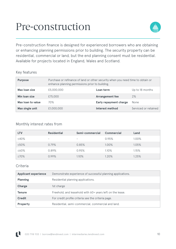# Pre-construction



Pre-construction finance is designed for experienced borrowers who are obtaining or enhancing planning permissions prior to building. The security property can be residential, commercial or land, but the end planning consent must be residential. Available for projects located in England, Wales and Scotland.

### Key features

| <b>Purpose</b>    | Purchase or refinance of land or other security when you need time to obtain or<br>enhance planning permissions prior to building. |                        |                      |
|-------------------|------------------------------------------------------------------------------------------------------------------------------------|------------------------|----------------------|
| Max loan size     | £5,000,000                                                                                                                         | Loan term              | Up to 18 months      |
| Min Ioan size     | £75,000                                                                                                                            | <b>Arrangement fee</b> | 2%                   |
| Max loan to value | 70%                                                                                                                                | Early repayment charge | None                 |
| Max single unit   | £1,000,000                                                                                                                         | Interest method        | Serviced or retained |

### Monthly interest rates from

| <b>LTV</b>  | <b>Residential</b> | Semi-commercial              | Commercial | Land  |
|-------------|--------------------|------------------------------|------------|-------|
| ≤40%        | -                  | $\qquad \qquad \blacksquare$ | 0.95%      | 1.00% |
| ≤50%        | 0.79%              | 0.85%                        | 1.00%      | 1.05% |
| ≤60%        | 0.89%              | 0.95%                        | 1.10%      | 1.15% |
| $\leq 70\%$ | 0.99%              | 1.10%                        | 1.20%      | 1.25% |

| <b>Applicant experience</b> | Demonstrate experience of successful planning applications. |
|-----------------------------|-------------------------------------------------------------|
| <b>Planning</b>             | Residential planning applications.                          |
| <b>Charge</b>               | 1st charge                                                  |
| <b>Tenure</b>               | Freehold, and leasehold with 60+ years left on the lease.   |
| <b>Credit</b>               | For credit profile criteria see the criteria page.          |
| <b>Property</b>             | Residential, semi-commercial, commercial and land.          |

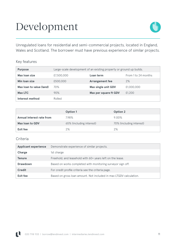# Development



Unregulated loans for residential and semi-commercial projects, located in England, Wales and Scotland. The borrower must have previous experience of similar projects.

# Key features

| <b>Purpose</b>           |            | Large-scale development of an existing property or ground up builds. |                     |
|--------------------------|------------|----------------------------------------------------------------------|---------------------|
| Max Ioan size            | £7,500,000 | Loan term                                                            | From 1 to 24 months |
| Min Ioan size            | £500,000   | <b>Arrangement fee</b>                                               | 2%                  |
| Max Ioan to value (land) | 70%        | Max single unit GDV                                                  | £1,000,000          |
| Max LTC                  | 90%        | Max per square ft GDV                                                | £1,200              |
| Interest method          | Rolled     |                                                                      |                     |

|                           | <b>Option 1</b>          | <b>Option 2</b>          |
|---------------------------|--------------------------|--------------------------|
| Annual interest rate from | 7.98%                    | 9.00%                    |
| Max loan to GDV           | 65% (including interest) | 70% (including interest) |
| Exit fee                  | 2%                       | 2%                       |

| <b>Applicant experience</b> | Demonstrate experience of similar projects.                        |
|-----------------------------|--------------------------------------------------------------------|
| Charge                      | 1st charge                                                         |
| <b>Tenure</b>               | Freehold, and leasehold with 60+ years left on the lease.          |
| <b>Drawdown</b>             | Based on works completed with monitoring surveyor sign off.        |
| <b>Credit</b>               | For credit profile criteria see the criteria page.                 |
| Exit fee                    | Based on gross loan amount. Not included in max LTGDV calculation. |

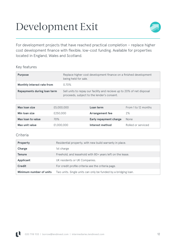# Development Exit



For development projects that have reached practical completion – replace higher cost development finance with flexible, low-cost funding. Available for properties located in England, Wales and Scotland.

# Key features

| <b>Purpose</b>              | Replace higher cost development finance on a finished development<br>being held for sale.                            |
|-----------------------------|----------------------------------------------------------------------------------------------------------------------|
| Monthly interest rate from  | 0.70%                                                                                                                |
| Repayments during loan term | Sell units to repay our facility and recieve up to 20% of net disposal<br>proceeds, subject to the lender's consent. |

| Max loan size     | £5,000,000 | Loan term                     | From 1 to 12 months |
|-------------------|------------|-------------------------------|---------------------|
| Min Ioan size     | £250,000   | <b>Arrangement fee</b>        | 2%                  |
| Max loan to value | 70%        | <b>Early repayment charge</b> | None                |
| Max unit value    | £1,000,000 | Interest method               | Rolled or serviced  |

| <b>Property</b>         | Residential property, with new build warranty in place.        |
|-------------------------|----------------------------------------------------------------|
| Charge                  | 1st charge                                                     |
| <b>Tenure</b>           | Freehold, and leasehold with 80+ years left on the lease.      |
| <b>Applicant</b>        | UK residents or UK Companies.                                  |
| <b>Credit</b>           | For credit profile criteria see the criteria page.             |
| Minimum number of units | Two units. Single units can only be funded by a bridging loan. |

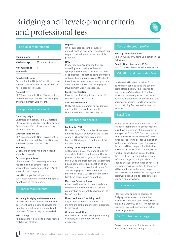# Bridging and Development criteria and professional fees



#### Individual requirements

| Minimum age                 | 21                  |
|-----------------------------|---------------------|
| Maximum age                 | 75 (at end of term) |
| Max number of<br>applicants |                     |

#### **Residential status**

Resident in the UK for 36 months or more and must currently be UK tax resident. If not, please get in touch.

#### **Nationality**

UK/EEA acceptable. Non-EEA subject to underwriter approval. For Tier 1 Bridging and Development Exit: UK only.

#### Corporate requirements

#### **Company origin**

UK limited companies. Non-UK possible. Please get in touch. For Tier 1 Bridging and Development Exit: UK companies only, including UK LLPs.

#### **Director's nationality**

UK/EEA acceptable. Non-EEA subject to underwriter approval. For Tier 1 Bridging and Development Exit: UK only.

#### **Security**

Debenture or other fixed and floating security required.

#### **Personal guarantees**

UK companies: full personal guarantee required from all directors and shareholders holding more than 25% of shares in the company.

Non-UK companies: full personal guarantees required from the principal or beneficiary of the company.

#### General requirements

#### **Servicing: Bridging and Development**

Underwriters must be satisfied that the borrower has the means to service the monthly interest (where interest is not retained). Evidence may be requested.

#### **Exit strategy**

Applicants must be able to demonstrate a realistic exit strategy.

#### **Deposit**

On all purchase cases the source of deposit must be disclosed. LendInvest may request that evidence of the deposit is produced.

#### **HMOs**

Properties being refinanced that are operating as an HMO must have all appropriate licences in place at the time of application. Properties being purchased with an intention to use as an HMO should have licences in place as soon as practical after completion. For Tier 1 Bridging and Development Exit: not accepted.

#### **Identity verification**

Passport or UK driving licence. Non-UK residents, please contact us.

#### **Address verification**

Utility bill, bank statement or tax demand dated within the last three months. Non-UK residents, please contact us.

#### Personal credit profile

#### **Bankruptcy/IVA**

No bankruptcy/IVA in the last three years. If bankruptcy/IVA occurred in the last six years, a full explanation is required. For Tier 1 Bridging and Development Exit: no bankruptcy.

#### **County Court judgments (CCJs)**

All CCJs must be satisfied and should not exceed £5,000. If more than one CCJ is present in the last six years or if more than three CCJs are present in the last six years, please contact us. An explanation of any CCJ recorded is required in all cases. For Tier 1 Bridging and Development Exit: if more than three CCJs are present in the last three years, please contact us.

#### **Mortgage/secured loans**

All secured loans should be up to date at the time of application with no arrears greater than one monthly payment in the last 36 months.

#### **Unsecured loans/revolving credit**

Any arrears or defaults in the last 24 months are at the underwriter's discretion to disregard.

#### **Criminal convictions**

Not permitted unless relating to motoring offences, or at the underwriter's discretion.

#### Corporate credit profile

#### **Bankruptcy or liquidation**

No bankruptcy or winding up petition in the last six years.

### **County Court judgments (CCJs)**

No CCJs unless by underwriter discretion.

#### Valuation and monitoring fees

LendInvest will instruct a valuer from its valuation panel to value the security being offered. You will be required to pay the valuer's fee direct to the firm instructed when requested. The fee will be variable, depending on the value of the borrower's security. Details of valuation and monitoring fees are available on our website.

#### Legal fees

All applicants must have their own solicitors to act on their behalf. All client solicitors must have a minimum of 3 SRA approved managers or 2 plus CQS (to check, please refer to the Law Society website). We will instruct solicitors to act for us in relation to the borrower's mortgage. The cost of this work will be charged directly to the borrower by our solicitor. The fee will be variable, depending on size of the loan, the type of the transaction (purchase or refinance, single or multiple title, first/ second charge), and whether or not it is a corporate borrower in the UK. These fees will be additional to the fees charged to the borrower by the solicitors acting on the borrower's behalf. Up-to-date details are available on our website.

#### Title insurance

Title insurance applies to Residential Bridging (refinance only) and Auction finance (residential property only) where the loan is £750,000 or less. The fee for title insurance is case dependent and will be shown in your offer.

Tariff of fees and charges

Please check our website for our up-todate tariff of fees and charges.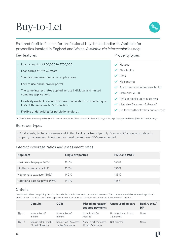# 14

# Buy-to-Let

Fast and flexible finance for professional buy-to-let landlords. Available for properties located in England and Wales. *Available via intermediaries only.*

#### Key features

- Loan amounts of £50,000 to £750,000
- Loan terms of 7 to 30 years
- Specialist underwriting on all applications.
- Easy to use online broker portal.
- The same interest rates applied across individual and limited company applications.
- Flexibility available on interest cover calculations to enable higher LTVs at the underwriter's discretion.
- Flexible underwriting for portfolio landlords.

#### Property types

- $\vee$  Houses
- New builds
- Flats
- $\checkmark$  Maisonettes
- $\checkmark$  Apartments including new builds
- $\checkmark$  HMO and MUFR
- $\checkmark$  Flats in blocks up to 5 storeys
- $\checkmark$  High rise flats over 5 storeys<sup>1</sup>
- $\checkmark$  Ex-local authority flats considered<sup>2</sup>

<sup>1</sup>In Greater London accepted subject to market conditions. Must have a lift if over 5 storeys. <sup>2</sup> If in a privately owned block (Greater London only).

#### Borrower types

UK individuals, limited companies and limited liability partnerships only. Company SIC code must relate to property management, investment or development. New SPVs are accepted.

#### Interest coverage ratios and assessment rates

| <b>Applicant</b>               | <b>Single properties</b> | <b>HMO and MUFB</b> |
|--------------------------------|--------------------------|---------------------|
| Basic rate taxpayer (20%)      | 125%                     | 130%                |
| Limited company or LLP         | 125%                     | 130%                |
| Higher rate taxpayer (40%)     | 140%                     | 145%                |
| Additional rate taxpayer (45%) | 140%                     | 145%                |

### Criteria

LendInvest offers two pricing tiers, both available to individual and corporate borrowers. Tier 1 rates are available where all applicants meet the tier 1 criteria. Tier 2 rates apply where one or more of the applicants does not meet the tier 1 criteria.

|        | <b>Defaults</b>                                | <b>CCJs</b>                                    | Missed mortgage/<br>secured payments           | Unsecured arrears                   | Bankruptcy/<br><b>IVA</b> |
|--------|------------------------------------------------|------------------------------------------------|------------------------------------------------|-------------------------------------|---------------------------|
| Tier 1 | None in last 48<br>months                      | None in last 60<br>months                      | None in last 36<br>months                      | No more than 2 in last<br>36 months | None                      |
| Tier 2 | None in last 12 months.<br>2 in last 24 months | None in last 12 months.<br>1 in last 24 months | None in last 12 months.<br>1 in last 36 months | Not counted                         | None                      |

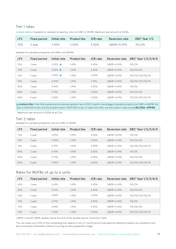#### Tier 1 rates

**Limited edition!** Available for standard properties only (not HMO or MUFB). Maximum loan amount of £300k.

| <b>LTV</b> | <b>Fixed period</b> |       | Initial rate Product fee | <b>ICR</b> rate | <b>Reversion rate</b>     | ERC <sup>2</sup> Year 1/2 |
|------------|---------------------|-------|--------------------------|-----------------|---------------------------|---------------------------|
| 75%        | 2 year              | 2.99% | 2.00%                    | 5.50%           | LIBOR <sup>1</sup> +4.59% | $3\%/2\%$                 |

Available for standard properties and HMOs (not MUFB).

| <b>LTV</b> | <b>Fixed period</b> | Initial rate | <b>Product fee</b> | <b>ICR</b> rate | <b>Reversion rate</b> | ERC <sup>2</sup> Year 1/2/3/4/5 |
|------------|---------------------|--------------|--------------------|-----------------|-----------------------|---------------------------------|
| 75%        | 2 year              | $3.39\%$     | 1.49%              | 5.50%           | $LIBOR1+4.59%$        | $3\%/2\%$                       |
| 75%        | 3 year              | $3.49\%$     | 1.49%              | 5.50%           | $LIBOR1+4.59%$        | 3%/2%/2%                        |
| 75%        | 5 year              | $3.59\%$     | 1.49%              | 5.00%           | $LIBOR1+4.59%$        | 3%/3%/2%/2%/1%                  |
| 75%        | 5 year              | $4.19\%*$    | 1.49%              | 4.19%           | $LIBOR1+4.59%$        | 3%/3%/2%/2%/1%                  |
| 80%        | 2 year              | 3.69%        | 1.49%              | 5.50%           | $LIBOR1+4.59%$        | 3%/2%                           |
| 80%        | 3 year              | 3.79%        | 1.49%              | 5.50%           | $LIBOR1+4.59%$        | 3%/2%/2%                        |
| 80%        | 5 year              | 3.89%        | 1.49%              | 5.00%           | $LIBOR1+4.59%$        | 3%/3%/2%/2%/1%                  |

**Limited offer:** Free title insurance and a reduced valuation fee of £100 if used to remortgage a standard property (not HMO or MUFB), the loan is £300,000 or less, and the property value is £500,000 or less. To select this offer, use the product codes ending **MLLTDEd.-APR18B**.

\*Maximum loan amount of £500k at all LTVs.

#### Tier 2 rates

Available for standard properties only (not HMO or MUFB).

| <b>LTV</b> | <b>Fixed period</b> | Initial rate | <b>Product fee</b> | <b>ICR</b> rate | <b>Reversion rate</b> | ERC <sup>2</sup> Year 1/2/3/4/5 |
|------------|---------------------|--------------|--------------------|-----------------|-----------------------|---------------------------------|
| 75%        | 2 year              | 3.99%        | 1.49%              | 5.50%           | $LIBOR1+4.69%$        | $3\%/2\%$                       |
| 75%        | 3 year              | 4.09%        | 1.49%              | 5.50%           | $LIBOR1+4.69%$        | 3%/2%/2%                        |
| 75%        | 5 year              | 4.19%        | 1.49%              | 5.00%           | $LIBOR1+4.69%$        | 3%/3%/2%/2%/1%                  |
| 80%        | 2 year              | 4.69%        | 1.49%              | 5.50%           | $LIBOR1+4.69%$        | $3\%/2\%$                       |
| 80%        | 3 year              | 4.79%        | 1.49%              | 5.50%           | $LIBOR1+4.69%$        | 3%/2%/2%                        |
| 80%        | 5 year              | 4.89%        | 1.49%              | 5.00%           | $LIBOR1+4.69%$        | 3%/3%/2%/2%/1%                  |

#### Rates for MUFBs of up to 6 units

| <b>LTV</b> | <b>Fixed period</b> | Initial rate | <b>Product fee</b> | <b>ICR</b> rate | <b>Reversion rate</b>     | ERC <sup>2</sup> Year 1/2/3/4/5 |
|------------|---------------------|--------------|--------------------|-----------------|---------------------------|---------------------------------|
| 65%        | 2 year              | 3.69%        | 1.49%              | 5.50%           | LIBOR <sup>1</sup> +4.69% | $3\%/2\%$                       |
| 65%        | 3 year              | 3.79%        | 1.49%              | 5.50%           | $LIBOR1+4.69%$            | 3%/2%/2%                        |
| 65%        | 5 year              | 3.89%        | 1.49%              | 5.50%           | $LIBOR1+4.69%$            | 3%/3%/2%/2%/1%                  |
| 70%        | 2 year              | 3.79%        | 1.49%              | 5.50%           | $LIBOR1+4.69%$            | $3\%/2\%$                       |
| 70%        | 3 year              | 3.89%        | 1.49%              | 5.50%           | LIBOR <sup>1</sup> +4.69% | 3%/2%/2%                        |
| 70%        | 5 year              | 3.99%        | 1.49%              | 5.50%           | LIBOR <sup>1</sup> +4.69% | 3%/3%/2%/2%/1%                  |

<sup>1</sup> LIBOR: 3 month LIBOR variable rate at the end of the variable period. Currently 0.58%.

2 You can repay up to 10% of the outstanding loan balance in any 12-month period (calculated by taking the balance at completion and each anniversary thereafter) without incurring an early repayment charge.